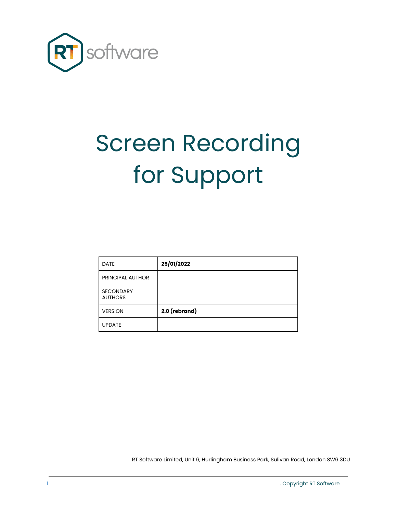

## Screen Recording for Support

| <b>DATE</b>                        | 25/01/2022    |
|------------------------------------|---------------|
| <b>PRINCIPAL AUTHOR</b>            |               |
| <b>SECONDARY</b><br><b>AUTHORS</b> |               |
| <b>VERSION</b>                     | 2.0 (rebrand) |
| <b>UPDATE</b>                      |               |

RT Software Limited, Unit 6, Hurlingham Business Park, Sulivan Road, London SW6 3DU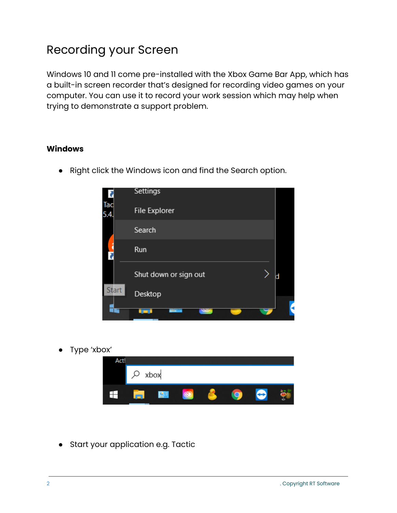## Recording your Screen

Windows 10 and 11 come pre-installed with the Xbox Game Bar App, which has a built-in screen recorder that's designed for recording video games on your computer. You can use it to record your work session which may help when trying to demonstrate a support problem.

## **Windows**

● Right click the Windows icon and find the Search option.



Type 'xbox'



● Start your application e.g. Tactic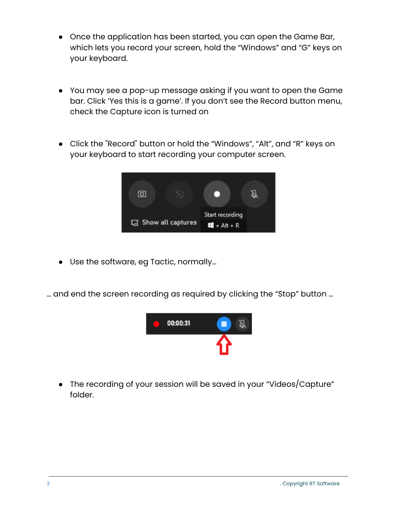- Once the application has been started, you can open the Game Bar, which lets you record your screen, hold the "Windows" and "G" keys on your keyboard.
- You may see a pop-up message asking if you want to open the Game bar. Click 'Yes this is a game'. If you don't see the Record button menu, check the Capture icon is turned on
- Click the "Record" button or hold the "Windows", "Alt", and "R" keys on your keyboard to start recording your computer screen.



● Use the software, eg Tactic, normally…

… and end the screen recording as required by clicking the "Stop" button …



• The recording of your session will be saved in your "Videos/Capture" folder.